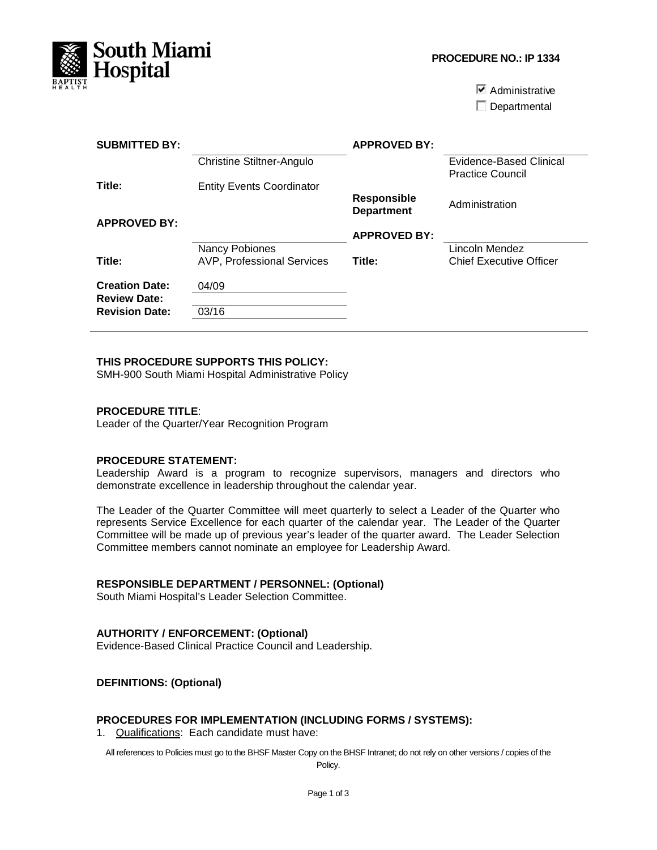

**PROCEDURE NO.: IP 1334**

 $\blacktriangleright$  Administrative

Departmental

| <b>SUBMITTED BY:</b>  |                                   | <b>APPROVED BY:</b>                     |                                                    |
|-----------------------|-----------------------------------|-----------------------------------------|----------------------------------------------------|
|                       | <b>Christine Stiltner-Angulo</b>  |                                         | Evidence-Based Clinical<br><b>Practice Council</b> |
| Title:                | <b>Entity Events Coordinator</b>  |                                         |                                                    |
|                       |                                   | <b>Responsible</b><br><b>Department</b> | Administration                                     |
| <b>APPROVED BY:</b>   |                                   |                                         |                                                    |
|                       |                                   | <b>APPROVED BY:</b>                     |                                                    |
|                       | Nancy Pobiones                    |                                         | Lincoln Mendez                                     |
| Title:                | <b>AVP, Professional Services</b> | Title:                                  | Chief Executive Officer                            |
| <b>Creation Date:</b> | 04/09                             |                                         |                                                    |
| <b>Review Date:</b>   |                                   |                                         |                                                    |
| <b>Revision Date:</b> | 03/16                             |                                         |                                                    |

#### **THIS PROCEDURE SUPPORTS THIS POLICY:**

SMH-900 South Miami Hospital Administrative Policy

#### **PROCEDURE TITLE**:

Leader of the Quarter/Year Recognition Program

## **PROCEDURE STATEMENT:**

Leadership Award is a program to recognize supervisors, managers and directors who demonstrate excellence in leadership throughout the calendar year.

The Leader of the Quarter Committee will meet quarterly to select a Leader of the Quarter who represents Service Excellence for each quarter of the calendar year. The Leader of the Quarter Committee will be made up of previous year's leader of the quarter award. The Leader Selection Committee members cannot nominate an employee for Leadership Award.

## **RESPONSIBLE DEPARTMENT / PERSONNEL: (Optional)**

South Miami Hospital's Leader Selection Committee.

### **AUTHORITY / ENFORCEMENT: (Optional)**

Evidence-Based Clinical Practice Council and Leadership.

### **DEFINITIONS: (Optional)**

#### **PROCEDURES FOR IMPLEMENTATION (INCLUDING FORMS / SYSTEMS):**

1. Qualifications: Each candidate must have:

All references to Policies must go to the BHSF Master Copy on the BHSF Intranet; do not rely on other versions / copies of the

Policy.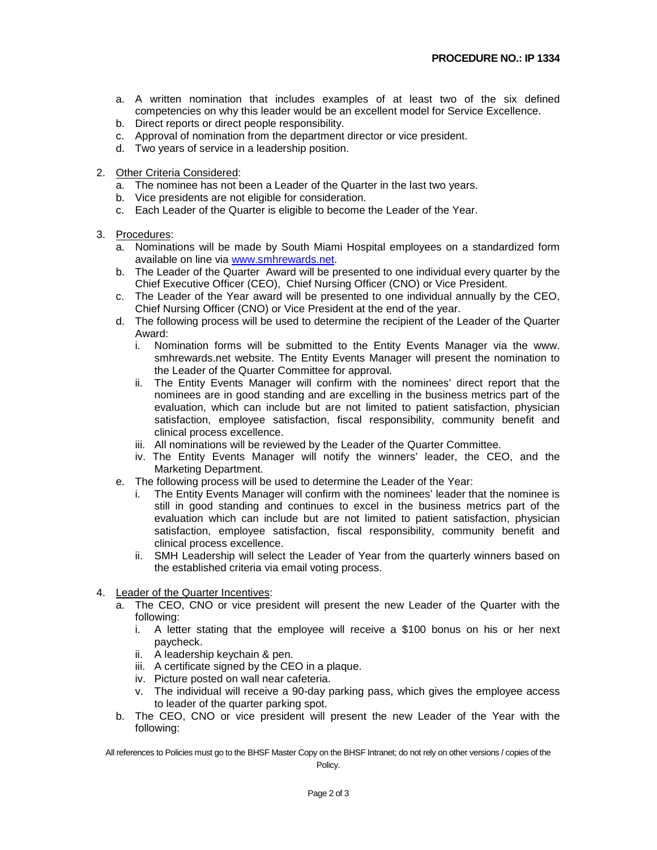- a. A written nomination that includes examples of at least two of the six defined competencies on why this leader would be an excellent model for Service Excellence.
- b. Direct reports or direct people responsibility.
- c. Approval of nomination from the department director or vice president.
- d. Two years of service in a leadership position.
- 2. Other Criteria Considered:
	- a. The nominee has not been a Leader of the Quarter in the last two years.
	- b. Vice presidents are not eligible for consideration.
	- c. Each Leader of the Quarter is eligible to become the Leader of the Year.
- 3. Procedures:
	- a. Nominations will be made by South Miami Hospital employees on a standardized form available on line via [www.smhrewards.net.](http://www.smhrewards.net/)
	- b. The Leader of the Quarter Award will be presented to one individual every quarter by the Chief Executive Officer (CEO), Chief Nursing Officer (CNO) or Vice President.
	- c. The Leader of the Year award will be presented to one individual annually by the CEO, Chief Nursing Officer (CNO) or Vice President at the end of the year.
	- d. The following process will be used to determine the recipient of the Leader of the Quarter Award:
		- i. Nomination forms will be submitted to the Entity Events Manager via the www. smhrewards.net website. The Entity Events Manager will present the nomination to the Leader of the Quarter Committee for approval.
		- ii. The Entity Events Manager will confirm with the nominees' direct report that the nominees are in good standing and are excelling in the business metrics part of the evaluation, which can include but are not limited to patient satisfaction, physician satisfaction, employee satisfaction, fiscal responsibility, community benefit and clinical process excellence.
		- iii. All nominations will be reviewed by the Leader of the Quarter Committee.
		- iv. The Entity Events Manager will notify the winners' leader, the CEO, and the Marketing Department.
	- e. The following process will be used to determine the Leader of the Year:
		- i. The Entity Events Manager will confirm with the nominees' leader that the nominee is still in good standing and continues to excel in the business metrics part of the evaluation which can include but are not limited to patient satisfaction, physician satisfaction, employee satisfaction, fiscal responsibility, community benefit and clinical process excellence.
		- ii. SMH Leadership will select the Leader of Year from the quarterly winners based on the established criteria via email voting process.
- 4. Leader of the Quarter Incentives:
	- a. The CEO, CNO or vice president will present the new Leader of the Quarter with the following:
		- i. A letter stating that the employee will receive a \$100 bonus on his or her next paycheck.
		- ii. A leadership keychain & pen.
		- iii. A certificate signed by the CEO in a plaque.
		- iv. Picture posted on wall near cafeteria.
		- v. The individual will receive a 90-day parking pass, which gives the employee access to leader of the quarter parking spot.
	- b. The CEO, CNO or vice president will present the new Leader of the Year with the following:

All references to Policies must go to the BHSF Master Copy on the BHSF Intranet; do not rely on other versions / copies of the Policy.